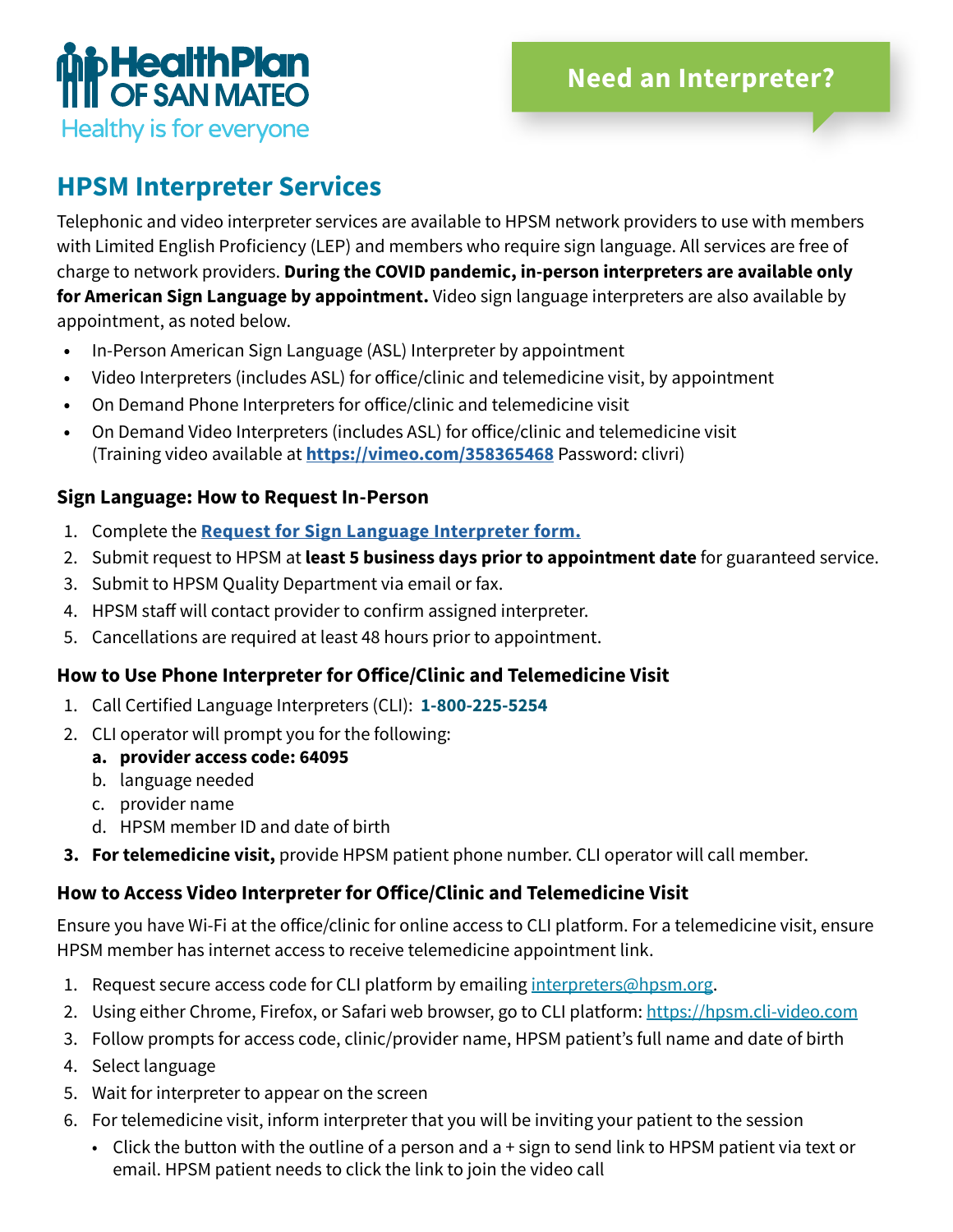

## **HPSM Interpreter Services**

Telephonic and video interpreter services are available to HPSM network providers to use with members with Limited English Proficiency (LEP) and members who require sign language. All services are free of charge to network providers. **During the COVID pandemic, in-person interpreters are available only for American Sign Language by appointment.** Video sign language interpreters are also available by appointment, as noted below.

- **•** In-Person American Sign Language (ASL) Interpreter by appointment
- **•** Video Interpreters (includes ASL) for office/clinic and telemedicine visit, by appointment
- **•** On Demand Phone Interpreters for office/clinic and telemedicine visit
- **•** On Demand Video Interpreters (includes ASL) for office/clinic and telemedicine visit (Training video available at **https://vimeo.com/358365468** Password: clivri)

### **Sign Language: How to Request In-Person**

- 1. Complete the **[Request for Sign Language Interpreter form.](#page-1-0)**
- 2. Submit request to HPSM at **least 5 business days prior to appointment date** for guaranteed service.
- 3. Submit to HPSM Quality Department via email or fax.
- 4. HPSM staff will contact provider to confirm assigned interpreter.
- 5. Cancellations are required at least 48 hours prior to appointment.

### **How to Use Phone Interpreter for Office/Clinic and Telemedicine Visit**

- 1. Call Certified Language Interpreters (CLI): **1-800-225-5254**
- 2. CLI operator will prompt you for the following:
	- **a. provider access code: 64095**
	- b. language needed
	- c. provider name
	- d. HPSM member ID and date of birth
- **3. For telemedicine visit,** provide HPSM patient phone number. CLI operator will call member.

### **How to Access Video Interpreter for Office/Clinic and Telemedicine Visit**

Ensure you have Wi-Fi at the office/clinic for online access to CLI platform. For a telemedicine visit, ensure HPSM member has internet access to receive telemedicine appointment link.

- 1. Request secure access code for CLI platform by emailing [interpreters@hpsm.org](mailto:interpreters%40hpsm.org?subject=CLI%20platform%20access%20code%20request).
- 2. Using either Chrome, Firefox, or Safari web browser, go to CLI platform:<https://hpsm.cli-video.com>
- 3. Follow prompts for access code, clinic/provider name, HPSM patient's full name and date of birth
- 4. Select language
- 5. Wait for interpreter to appear on the screen
- 6. For telemedicine visit, inform interpreter that you will be inviting your patient to the session
	- Click the button with the outline of a person and a + sign to send link to HPSM patient via text or email. HPSM patient needs to click the link to join the video call